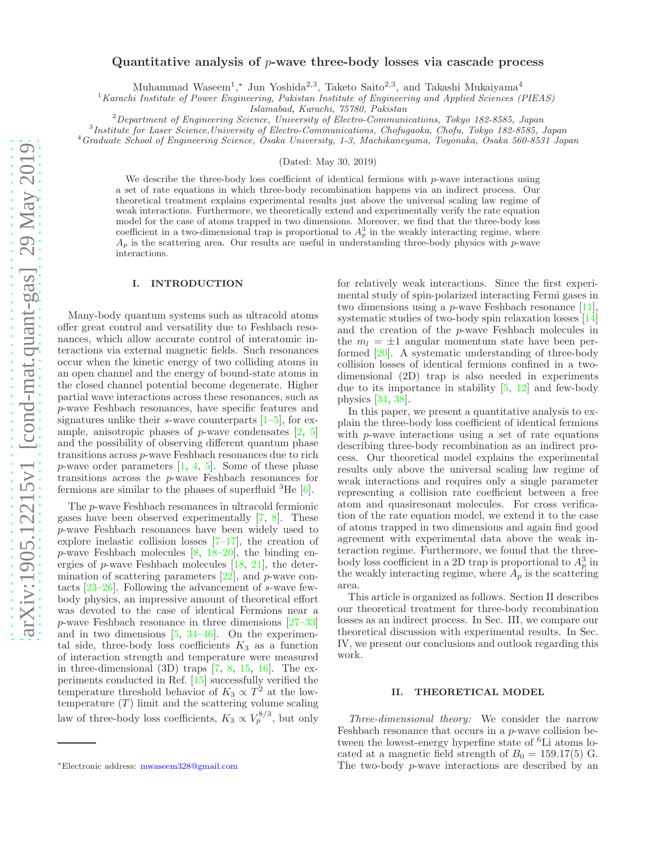# Quantitative analysis of  $p$ -wave three-body losses via cascade process

Muhammad Waseem<sup>1</sup>,<sup>\*</sup> Jun Yoshida<sup>2,3</sup>, Taketo Saito<sup>2,3</sup>, and Takashi Mukaiyama<sup>4</sup>

<sup>1</sup> Karachi Institute of Power Engineering, Pakistan Institute of Engineering and Applied Sciences (PIEAS)

Islamabad, Karachi, 75780, Pakistan

 $2$ Department of Engineering Science, University of Electro-Communications, Tokyo 182-8585, Japan

3 Institute for Laser Science,University of Electro-Communications, Chofugaoka, Chofu, Tokyo 182-8585, Japan

<sup>4</sup>Graduate School of Engineering Science, Osaka University, 1-3, Machikaneyama, Toyonaka, Osaka 560-8531 Japan

(Dated: May 30, 2019)

We describe the three-body loss coefficient of identical fermions with  $p$ -wave interactions using a set of rate equations in which three-body recombination happens via an indirect process. Our theoretical treatment explains experimental results just above the universal scaling law regime of weak interactions. Furthermore, we theoretically extend and experimentally verify the rate equation model for the case of atoms trapped in two dimensions. Moreover, we find that the three-body loss coefficient in a two-dimensional trap is proportional to  $A_p^3$  in the weakly interacting regime, where  $A_p$  is the scattering area. Our results are useful in understanding three-body physics with p-wave interactions.

### I. INTRODUCTION

Many-body quantum systems such as ultracold atoms offer great control and versatility due to Feshbach resonances, which allow accurate control of interatomic interactions via external magnetic fields. Such resonances occur when the kinetic energy of two colliding atoms in an open channel and the energy of bound-state atoms in the closed channel potential become degenerate. Higher partial wave interactions across these resonances, such as p-wave Feshbach resonances, have specific features and signatures unlike their s-wave counterparts  $[1-5]$ , for example, anisotropic phases of  $p$ -wave condensates  $[2, 5]$  $[2, 5]$  $[2, 5]$ and the possibility of observing different quantum phase transitions across p-wave Feshbach resonances due to rich p-wave order parameters [\[1](#page-4-0), [4,](#page-4-3) [5\]](#page-4-1). Some of these phase transitions across the p-wave Feshbach resonances for fermions are similar to the phases of superfluid  ${}^{3}$ He [\[6\]](#page-4-4).

The p-wave Feshbach resonances in ultracold fermionic gases have been observed experimentally [\[7](#page-4-5), [8](#page-5-0)]. These p-wave Feshbach resonances have been widely used to explore inelastic collision losses  $[7-17]$ , the creation of  $p$ -wave Feshbach molecules  $[8, 18-20]$  $[8, 18-20]$  $[8, 18-20]$ , the binding energies of p-wave Feshbach molecules [\[18,](#page-5-2) [21](#page-5-4)], the determination of scattering parameters  $[22]$ , and p-wave contacts [\[23](#page-5-6)[–26](#page-5-7)]. Following the advancement of s-wave fewbody physics, an impressive amount of theoretical effort was devoted to the case of identical Fermions near a p-wave Feshbach resonance in three dimensions [\[27](#page-5-8)[–33\]](#page-5-9) and in two dimensions [\[5](#page-4-1), [34](#page-5-10)[–46\]](#page-5-11). On the experimental side, three-body loss coefficients  $K_3$  as a function of interaction strength and temperature were measured in three-dimensional (3D) traps [\[7](#page-4-5), [8](#page-5-0), [15](#page-5-12), [16](#page-5-13)]. The experiments conducted in Ref. [\[15\]](#page-5-12) successfully verified the temperature threshold behavior of  $K_3 \propto T^2$  at the lowtemperature  $(T)$  limit and the scattering volume scaling law of three-body loss coefficients,  $K_3 \propto V_p^{8/3}$ , but only

for relatively weak interactions. Since the first experimental study of spin-polarized interacting Fermi gases in two dimensions using a  $p$ -wave Feshbach resonance [\[11\]](#page-5-14), systematic studies of two-body spin relaxation losses [\[14](#page-5-15)] and the creation of the p-wave Feshbach molecules in the  $m_l = \pm 1$  angular momentum state have been performed [\[20\]](#page-5-3). A systematic understanding of three-body collision losses of identical fermions confined in a twodimensional (2D) trap is also needed in experiments due to its importance in stability [\[5,](#page-4-1) [12\]](#page-5-16) and few-body physics [\[34](#page-5-10), [38](#page-5-17)].

In this paper, we present a quantitative analysis to explain the three-body loss coefficient of identical fermions with *p*-wave interactions using a set of rate equations describing three-body recombination as an indirect process. Our theoretical model explains the experimental results only above the universal scaling law regime of weak interactions and requires only a single parameter representing a collision rate coefficient between a free atom and quasiresonant molecules. For cross verification of the rate equation model, we extend it to the case of atoms trapped in two dimensions and again find good agreement with experimental data above the weak interaction regime. Furthermore, we found that the threebody loss coefficient in a 2D trap is proportional to  $A_p^3$  in the weakly interacting regime, where  $A_p$  is the scattering area.

This article is organized as follows. Section II describes our theoretical treatment for three-body recombination losses as an indirect process. In Sec. III, we compare our theoretical discussion with experimental results. In Sec. IV, we present our conclusions and outlook regarding this work.

### II. THEORETICAL MODEL

Three-dimensional theory: We consider the narrow Feshbach resonance that occurs in a p-wave collision between the lowest-energy hyperfine state of <sup>6</sup>Li atoms located at a magnetic field strength of  $B_0 = 159.17(5)$  G. The two-body p-wave interactions are described by an

<span id="page-0-0"></span><sup>∗</sup>Electronic address: [mwaseem328@gmail.com](mailto:mwaseem328@gmail.com)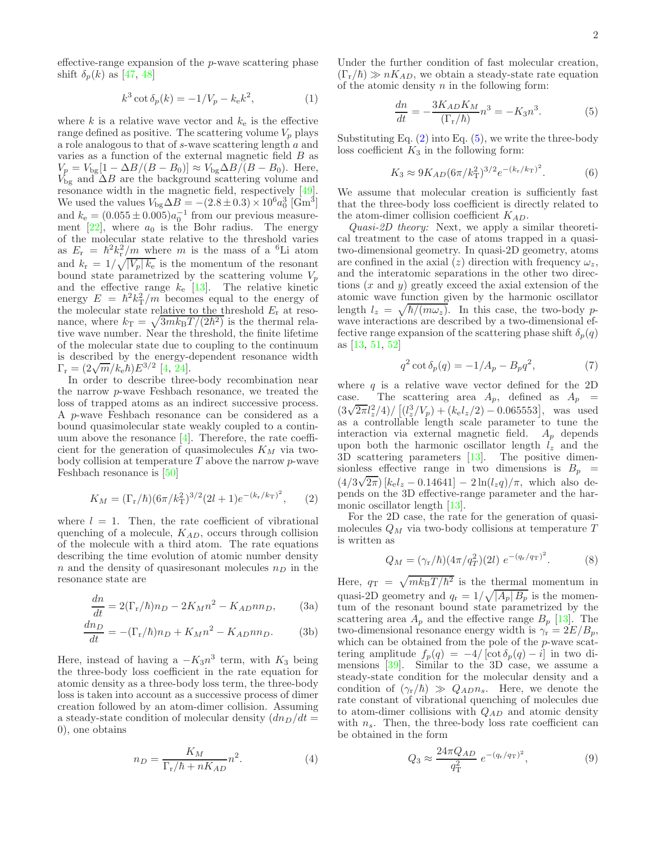effective-range expansion of the  $p$ -wave scattering phase shift  $\delta_p(k)$  as [\[47](#page-5-18), [48](#page-5-19)]

<span id="page-1-3"></span>
$$
k^3 \cot \delta_p(k) = -1/V_p - k_e k^2,
$$
 (1)

where k is a relative wave vector and  $k<sub>e</sub>$  is the effective range defined as positive. The scattering volume  $V_p$  plays a role analogous to that of s-wave scattering length a and varies as a function of the external magnetic field  $B$  as  $V_p = V_{\text{bg}}[1 - \Delta B/(B - B_0)] \approx V_{\text{bg}}\Delta B/(B - B_0)$ . Here,  $V_{\text{bg}}$  and  $\Delta B$  are the background scattering volume and resonance width in the magnetic field, respectively [\[49\]](#page-5-20). We used the values  $V_{\text{bg}}\Delta B = -(2.8 \pm 0.3) \times 10^6 a_0^3 \text{ [Gm}^3]$ and  $k_e = (0.055 \pm 0.005)a_0^{-1}$  from our previous measurement  $[22]$ , where  $a_0$  is the Bohr radius. The energy of the molecular state relative to the threshold varies as  $E_r = \hbar^2 k_r^2 / m$  where m is the mass of a <sup>6</sup>Li atom as  $E_r = h \kappa_r / m$  where *m* is the mass of a Li atom<br>and  $k_r = 1 / \sqrt{|V_p| k_e}$  is the momentum of the resonant bound state parametrized by the scattering volume  $V_p$ and the effective range  $k_e$  [\[13\]](#page-5-21). The relative kinetic energy  $E = \hbar^2 k_{\rm T}^2/m$  becomes equal to the energy of the molecular state relative to the threshold  $E_r$  at resonance, where  $k_{\text{T}} = \sqrt{3mk_{\text{B}}T/(2\hbar^2)}$  is the thermal relative wave number. Near the threshold, the finite lifetime of the molecular state due to coupling to the continuum is described by the energy-dependent resonance width  $\Gamma_{\rm r} = (2\sqrt{m}/k_{\rm e}\hbar)E^{3/2}$  [\[4](#page-4-3), [24](#page-5-22)].

In order to describe three-body recombination near the narrow p-wave Feshbach resonance, we treated the loss of trapped atoms as an indirect successive process. A p-wave Feshbach resonance can be considered as a bound quasimolecular state weakly coupled to a continuum above the resonance  $[4]$ . Therefore, the rate coefficient for the generation of quasimolecules  $K_M$  via twobody collision at temperature  $T$  above the narrow  $p$ -wave Feshbach resonance is [\[50](#page-5-23)]

<span id="page-1-0"></span>
$$
K_M = (\Gamma_{\rm r}/\hbar)(6\pi/k_{\rm T}^2)^{3/2}(2l+1)e^{-(k_{\rm r}/k_{\rm T})^2},\qquad(2)
$$

where  $l = 1$ . Then, the rate coefficient of vibrational quenching of a molecule,  $K_{AD}$ , occurs through collision of the molecule with a third atom. The rate equations describing the time evolution of atomic number density n and the density of quasiresonant molecules  $n_D$  in the resonance state are

$$
\frac{dn}{dt} = 2(\Gamma_r/\hbar)n_D - 2K_M n^2 - K_{AD}nn_D, \qquad (3a)
$$

$$
\frac{dn_D}{dt} = -(\Gamma_r/\hbar)n_D + K_M n^2 - K_{AD}nn_D.
$$
 (3b)

Here, instead of having a  $-K_3n^3$  term, with  $K_3$  being the three-body loss coefficient in the rate equation for atomic density as a three-body loss term, the three-body loss is taken into account as a successive process of dimer creation followed by an atom-dimer collision. Assuming a steady-state condition of molecular density  $(dn_D/dt =$ 0), one obtains

$$
n_D = \frac{K_M}{\Gamma_r/\hbar + nK_{AD}} n^2.
$$
\n(4)

Under the further condition of fast molecular creation,  $(\Gamma_{\rm r}/\hbar) \gg nK_{AD}$ , we obtain a steady-state rate equation of the atomic density  $n$  in the following form:

<span id="page-1-1"></span>
$$
\frac{dn}{dt} = -\frac{3K_{AD}K_M}{(\Gamma_r/\hbar)}n^3 = -K_3n^3.
$$
 (5)

Substituting Eq.  $(2)$  into Eq.  $(5)$ , we write the three-body loss coefficient  $K_3$  in the following form:

<span id="page-1-2"></span>
$$
K_3 \approx 9K_{AD}(6\pi/k_{\rm T}^2)^{3/2}e^{-(k_{\rm r}/k_{\rm T})^2}.\tag{6}
$$

We assume that molecular creation is sufficiently fast that the three-body loss coefficient is directly related to the atom-dimer collision coefficient  $K_{AD}$ .

Quasi-2D theory: Next, we apply a similar theoretical treatment to the case of atoms trapped in a quasitwo-dimensional geometry. In quasi-2D geometry, atoms are confined in the axial (z) direction with frequency  $\omega_z$ , and the interatomic separations in the other two directions  $(x \text{ and } y)$  greatly exceed the axial extension of the atomic wave function given by the harmonic oscillator length  $l_z = \sqrt{\hbar/(m\omega_z)}$ . In this case, the two-body pwave interactions are described by a two-dimensional effective range expansion of the scattering phase shift  $\delta_p(q)$ as [\[13](#page-5-21), [51](#page-5-24), [52](#page-5-25)]

$$
q^2 \cot \delta_p(q) = -1/A_p - B_p q^2,\tag{7}
$$

where  $q$  is a relative wave vector defined for the 2D case. The scattering area  $A_p$ , defined as  $A_p$  =  $\left(\frac{3\sqrt{2\pi}l_z^2}{4}\right)$ / $\left[\frac{l_z^3}{V_p} + \frac{k_e l_z}{2}\right]$  – 0.065553], was used as a controllable length scale parameter to tune the interaction via external magnetic field.  $A_p$  depends upon both the harmonic oscillator length  $l_z$  and the 3D scattering parameters [\[13](#page-5-21)]. The positive dimensionless effective range in two dimensions is  $B_p =$  $\left(4/3\sqrt{2\pi}\right)$  [ $k_{\text{e}}l_{z}$  – 0.14641] – 2 ln( $l_{z}q$ )/ $\pi$ , which also depends on the 3D effective-range parameter and the harmonic oscillator length [\[13](#page-5-21)].

For the 2D case, the rate for the generation of quasimolecules  $Q_M$  via two-body collisions at temperature T is written as

$$
Q_M = (\gamma_r/\hbar)(4\pi/q_T^2)(2l) e^{-(q_r/q_T)^2}.
$$
 (8)

Here,  $q_T = \sqrt{mk_BT/\hbar^2}$  is the thermal momentum in quasi-2D geometry and  $q_r = 1/\sqrt{|A_p| B_p}$  is the momentum of the resonant bound state parametrized by the scattering area  $A_p$  and the effective range  $B_p$  [\[13\]](#page-5-21). The two-dimensional resonance energy width is  $\gamma_r = 2E/B_p$ , which can be obtained from the pole of the *p*-wave scattering amplitude  $f_p(q) = -4/[\cot \delta_p(q) - i]$  in two dimensions [\[39\]](#page-5-26). Similar to the 3D case, we assume a steady-state condition for the molecular density and a condition of  $(\gamma_{r}/\hbar) \gg Q_{AD} n_{s}$ . Here, we denote the rate constant of vibrational quenching of molecules due to atom-dimer collisions with  $Q_{AD}$  and atomic density with  $n_s$ . Then, the three-body loss rate coefficient can be obtained in the form

<span id="page-1-4"></span>
$$
Q_3 \approx \frac{24\pi Q_{AD}}{q_{\rm T}^2} \, e^{-(q_{\rm r}/q_{\rm T})^2},\tag{9}
$$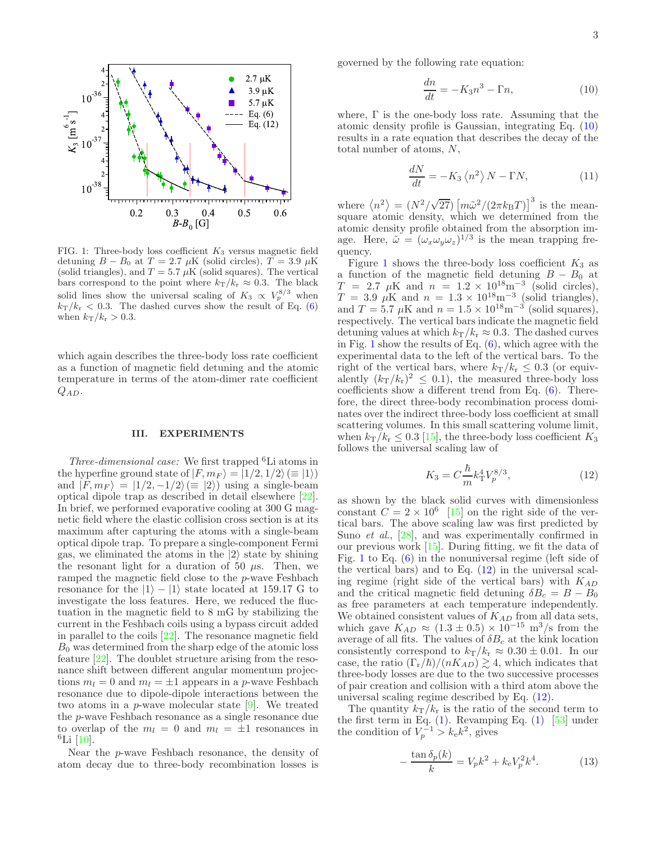

<span id="page-2-1"></span>FIG. 1: Three-body loss coefficient  $K_3$  versus magnetic field detuning  $B - B_0$  at  $T = 2.7 \mu K$  (solid circles),  $T = 3.9 \mu K$ (solid triangles), and  $T = 5.7 \mu K$  (solid squares). The vertical bars correspond to the point where  $k_T/k_r \approx 0.3$ . The black solid lines show the universal scaling of  $K_3 \propto V_p^{8/3}$  when  $k_{\rm T}/k_{\rm r} < 0.3$ . The dashed curves show the result of Eq. [\(6\)](#page-1-2) when  $k_T/k_r > 0.3$ .

which again describes the three-body loss rate coefficient as a function of magnetic field detuning and the atomic temperature in terms of the atom-dimer rate coefficient  $Q_{AD}$ .

#### III. EXPERIMENTS

Three-dimensional case: We first trapped  ${}^{6}$ Li atoms in the hyperfine ground state of  $|F, m_F\rangle = |1/2, 1/2\rangle \, (\equiv |1\rangle)$ and  $|F, m_F \rangle = |1/2, -1/2\rangle \equiv |2\rangle$  using a single-beam optical dipole trap as described in detail elsewhere [\[22\]](#page-5-5). In brief, we performed evaporative cooling at 300 G magnetic field where the elastic collision cross section is at its maximum after capturing the atoms with a single-beam optical dipole trap. To prepare a single-component Fermi gas, we eliminated the atoms in the  $|2\rangle$  state by shining the resonant light for a duration of 50  $\mu$ s. Then, we ramped the magnetic field close to the p-wave Feshbach resonance for the  $|1\rangle - |1\rangle$  state located at 159.17 G to investigate the loss features. Here, we reduced the fluctuation in the magnetic field to 8 mG by stabilizing the current in the Feshbach coils using a bypass circuit added in parallel to the coils [\[22\]](#page-5-5). The resonance magnetic field  $B_0$  was determined from the sharp edge of the atomic loss feature [\[22\]](#page-5-5). The doublet structure arising from the resonance shift between different angular momentum projections  $m_l = 0$  and  $m_l = \pm 1$  appears in a p-wave Feshbach resonance due to dipole-dipole interactions between the two atoms in a p-wave molecular state [\[9\]](#page-5-27). We treated the p-wave Feshbach resonance as a single resonance due to overlap of the  $m_l = 0$  and  $m_l = \pm 1$  resonances in  ${}^{6}$ Li [\[10\]](#page-5-28).

Near the p-wave Feshbach resonance, the density of atom decay due to three-body recombination losses is governed by the following rate equation:

<span id="page-2-0"></span>
$$
\frac{dn}{dt} = -K_3 n^3 - \Gamma n,\tag{10}
$$

where, Γ is the one-body loss rate. Assuming that the atomic density profile is Gaussian, integrating Eq. [\(10\)](#page-2-0) results in a rate equation that describes the decay of the total number of atoms, N,

$$
\frac{dN}{dt} = -K_3 \left\langle n^2 \right\rangle N - \Gamma N,\tag{11}
$$

where  $\langle n^2 \rangle = (N^2/\sqrt{27}) \left[ m \tilde{\omega}^2/(2 \pi k_B T) \right]^3$  is the meansquare atomic density, which we determined from the atomic density profile obtained from the absorption image. Here,  $\tilde{\omega} = (\omega_x \omega_y \omega_z)^{1/3}$  is the mean trapping frequency.

Figure [1](#page-2-1) shows the three-body loss coefficient  $K_3$  as a function of the magnetic field detuning  $B - B_0$  at  $T = 2.7 \mu\text{K}$  and  $n = 1.2 \times 10^{18} \text{m}^{-3}$  (solid circles),<br>  $T = 3.9 \mu\text{K}$  and  $n = 1.3 \times 10^{18} \text{m}^{-3}$  (solid triangles),<br>
and  $T = 5.7 \mu\text{K}$  and  $n = 1.5 \times 10^{18} \text{m}^{-3}$  (solid squares), respectively. The vertical bars indicate the magnetic field detuning values at which  $k_T/k_r \approx 0.3$ . The dashed curves in Fig. [1](#page-2-1) show the results of Eq.  $(6)$ , which agree with the experimental data to the left of the vertical bars. To the right of the vertical bars, where  $k_{\rm T}/k_{\rm r} \leq 0.3$  (or equivalently  $(k_T/k_T)^2 \leq 0.1$ , the measured three-body loss coefficients show a different trend from Eq. [\(6\)](#page-1-2). Therefore, the direct three-body recombination process dominates over the indirect three-body loss coefficient at small scattering volumes. In this small scattering volume limit, when  $k_T/k_r \leq 0.3$  [\[15](#page-5-12)], the three-body loss coefficient  $K_3$ follows the universal scaling law of

<span id="page-2-2"></span>
$$
K_3 = C \frac{\hbar}{m} k_{\rm T}^4 V_p^{8/3},\tag{12}
$$

as shown by the black solid curves with dimensionless constant  $C = 2 \times 10^6$  [\[15\]](#page-5-12) on the right side of the vertical bars. The above scaling law was first predicted by Suno *et al.*, [\[28](#page-5-29)], and was experimentally confirmed in our previous work  $[15]$ . During fitting, we fit the data of Fig. [1](#page-2-1) to Eq. [\(6\)](#page-1-2) in the nonuniversal regime (left side of the vertical bars) and to Eq.  $(12)$  in the universal scaling regime (right side of the vertical bars) with  $K_{AD}$ and the critical magnetic field detuning  $\delta B_c = B - B_0$ as free parameters at each temperature independently. We obtained consistent values of  $K_{AD}$  from all data sets, which gave  $K_{AD} \approx (1.3 \pm 0.5) \times 10^{-15}$  m<sup>3</sup>/s from the average of all fits. The values of  $\delta B_c$  at the kink location consistently correspond to  $k_T/k_r \approx 0.30 \pm 0.01$ . In our case, the ratio  $(\Gamma_r/\hbar)/(nK_{AD}) \gtrsim 4$ , which indicates that three-body losses are due to the two successive processes of pair creation and collision with a third atom above the universal scaling regime described by Eq. [\(12\)](#page-2-2).

The quantity  $k_T/k_r$  is the ratio of the second term to the first term in Eq.  $(1)$ . Revamping Eq.  $(1)$  [\[53](#page-5-30)] under the condition of  $V_p^{-1} > k_e k^2$ , gives

$$
-\frac{\tan \delta_p(k)}{k} = V_p k^2 + k_e V_p^2 k^4.
$$
 (13)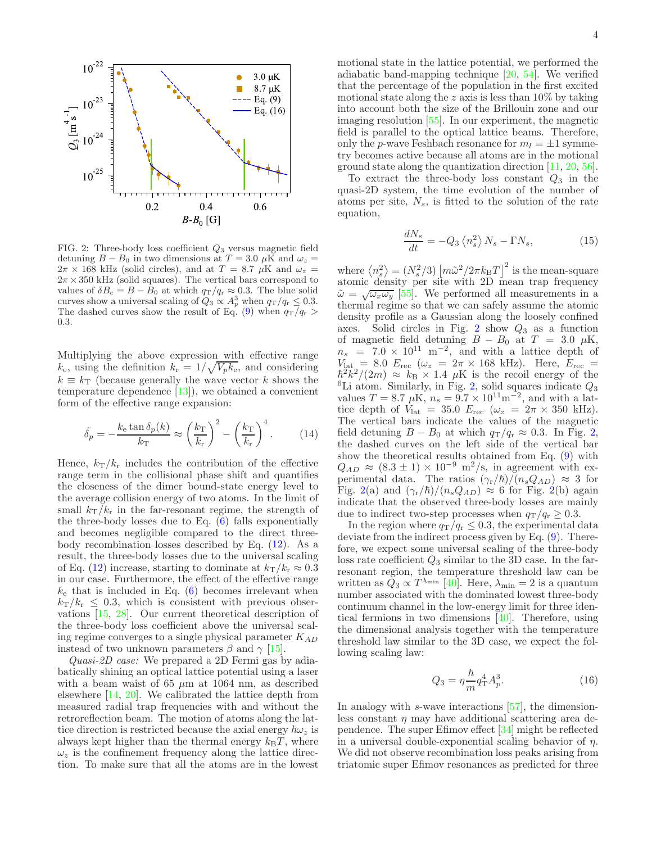

<span id="page-3-0"></span>FIG. 2: Three-body loss coefficient  $Q_3$  versus magnetic field detuning  $B - B_0$  in two dimensions at  $T = 3.0~\mu{\rm K}$  and  $\omega_z =$  $2\pi \times 168$  kHz (solid circles), and at  $T = 8.7 \mu K$  and  $\omega_z$  $2\pi \times 350$  kHz (solid squares). The vertical bars correspond to values of  $\delta B_c = B - B_0$  at which  $q_T/q_r \approx 0.3$ . The blue solid curves show a universal scaling of  $Q_3 \propto A_p^3$  when  $q_\text{T}/q_\text{r} \leq 0.3$ . The dashed curves show the result of Eq. [\(9\)](#page-1-4) when  $q_T/q_r$ 0.3.

Multiplying the above expression with effective range  $k_e$ , using the definition  $k_r = 1/\sqrt{V_p k_e}$ , and considering  $k \equiv k_{\rm T}$  (because generally the wave vector k shows the temperature dependence  $[13]$ , we obtained a convenient form of the effective range expansion:

$$
\tilde{\delta_p} = -\frac{k_e \tan \delta_p(k)}{k_{\rm T}} \approx \left(\frac{k_{\rm T}}{k_{\rm r}}\right)^2 - \left(\frac{k_{\rm T}}{k_{\rm r}}\right)^4. \tag{14}
$$

Hence,  $k_T/k_r$  includes the contribution of the effective range term in the collisional phase shift and quantifies the closeness of the dimer bound-state energy level to the average collision energy of two atoms. In the limit of small  $k_T/k_r$  in the far-resonant regime, the strength of the three-body losses due to Eq. [\(6\)](#page-1-2) falls exponentially and becomes negligible compared to the direct threebody recombination losses described by Eq.  $(12)$ . As a result, the three-body losses due to the universal scaling of Eq. [\(12\)](#page-2-2) increase, starting to dominate at  $k_T/k_r \approx 0.3$ in our case. Furthermore, the effect of the effective range  $k_e$  that is included in Eq. [\(6\)](#page-1-2) becomes irrelevant when  $k_{\rm T}/k_{\rm r} \leq 0.3$ , which is consistent with previous observations [\[15,](#page-5-12) [28\]](#page-5-29). Our current theoretical description of the three-body loss coefficient above the universal scaling regime converges to a single physical parameter  $K_{AD}$ instead of two unknown parameters  $\beta$  and  $\gamma$  [\[15\]](#page-5-12).

Quasi-2D case: We prepared a 2D Fermi gas by adiabatically shining an optical lattice potential using a laser with a beam waist of 65  $\mu$ m at 1064 nm, as described elsewhere [\[14](#page-5-15), [20\]](#page-5-3). We calibrated the lattice depth from measured radial trap frequencies with and without the retroreflection beam. The motion of atoms along the lattice direction is restricted because the axial energy  $\hbar\omega_z$  is always kept higher than the thermal energy  $k_BT$ , where  $\omega_z$  is the confinement frequency along the lattice direction. To make sure that all the atoms are in the lowest

motional state in the lattice potential, we performed the adiabatic band-mapping technique [\[20](#page-5-3), [54\]](#page-5-31). We verified that the percentage of the population in the first excited motional state along the z axis is less than  $10\%$  by taking into account both the size of the Brillouin zone and our imaging resolution [\[55\]](#page-5-32). In our experiment, the magnetic field is parallel to the optical lattice beams. Therefore, only the p-wave Feshbach resonance for  $m_l = \pm 1$  symmetry becomes active because all atoms are in the motional ground state along the quantization direction [\[11](#page-5-14), [20](#page-5-3), [56\]](#page-5-33).

To extract the three-body loss constant  $Q_3$  in the quasi-2D system, the time evolution of the number of atoms per site,  $N_s$ , is fitted to the solution of the rate equation,

$$
\frac{dN_s}{dt} = -Q_3 \left\langle n_s^2 \right\rangle N_s - \Gamma N_s,\tag{15}
$$

where  $\langle n_s^2 \rangle = (N_s^2/3) [\tilde{m} \tilde{\omega}^2/2 \pi k_B T]$ <sup>2</sup> is the mean-square atomic density per site with 2D mean trap frequency  $\tilde{\omega} = \sqrt{\omega_x \omega_y}$  [\[55\]](#page-5-32). We performed all measurements in a thermal regime so that we can safely assume the atomic density profile as a Gaussian along the loosely confined axes. Solid circles in Fig. [2](#page-3-0) show  $Q_3$  as a function of magnetic field detuning  $B - B_0$  at  $T = 3.0 \mu$ K,<br>  $n_s = 7.0 \times 10^{11} \text{ m}^{-2}$ , and with a lattice depth of  $V_{\text{lat}} = 8.0$   $E_{\text{rec}}$  ( $\omega_z = 2\pi \times 168$  kHz). Here,  $E_{\text{rec}} =$  $\hbar^2 k^2/(2m) \approx k_B \times 1.4 \mu K$  is the recoil energy of the  ${}^{6}$ Li atom. Similarly, in Fig. [2,](#page-3-0) solid squares indicate  $Q_3$ values  $T = 8.7 \mu\text{K}, n_s = 9.7 \times 10^{11}\text{m}^{-2}$ , and with a lattice depth of  $V_{\text{lat}} = 35.0$   $E_{\text{rec}}$   $(\omega_z = 2\pi \times 350 \text{ kHz}).$ The vertical bars indicate the values of the magnetic field detuning  $B - B_0$  at which  $q_T/q_r \approx 0.3$ . In Fig. [2,](#page-3-0) the dashed curves on the left side of the vertical bar show the theoretical results obtained from Eq. [\(9\)](#page-1-4) with  $Q_{AD} \approx (8.3 \pm 1) \times 10^{-9}$  m<sup>2</sup>/s, in agreement with experimental data. The ratios  $(\gamma_r/\hbar)/(n_sQ_{AD}) \approx 3$  for Fig. [2\(](#page-3-0)a) and  $(\gamma_{\rm r}/\hbar)/(n_sQ_{AD}) \approx 6$  for Fig. 2(b) again indicate that the observed three-body losses are mainly due to indirect two-step processes when  $q_T/q_r \geq 0.3$ .

In the region where  $q_T/q_r \leq 0.3$ , the experimental data deviate from the indirect process given by Eq. [\(9\)](#page-1-4). Therefore, we expect some universal scaling of the three-body loss rate coefficient  $Q_3$  similar to the 3D case. In the farresonant region, the temperature threshold law can be written as  $Q_3 \propto T^{\lambda_{\min}}$  [\[40](#page-5-34)]. Here,  $\lambda_{\min} = 2$  is a quantum number associated with the dominated lowest three-body continuum channel in the low-energy limit for three identical fermions in two dimensions [\[40\]](#page-5-34). Therefore, using the dimensional analysis together with the temperature threshold law similar to the 3D case, we expect the following scaling law:

<span id="page-3-1"></span>
$$
Q_3 = \eta \frac{\hbar}{m} q_{\rm T}^4 A_p^3.
$$
 (16)

In analogy with s-wave interactions [\[57\]](#page-5-35), the dimensionless constant  $\eta$  may have additional scattering area dependence. The super Efimov effect [\[34](#page-5-10)] might be reflected in a universal double-exponential scaling behavior of  $\eta$ . We did not observe recombination loss peaks arising from triatomic super Efimov resonances as predicted for three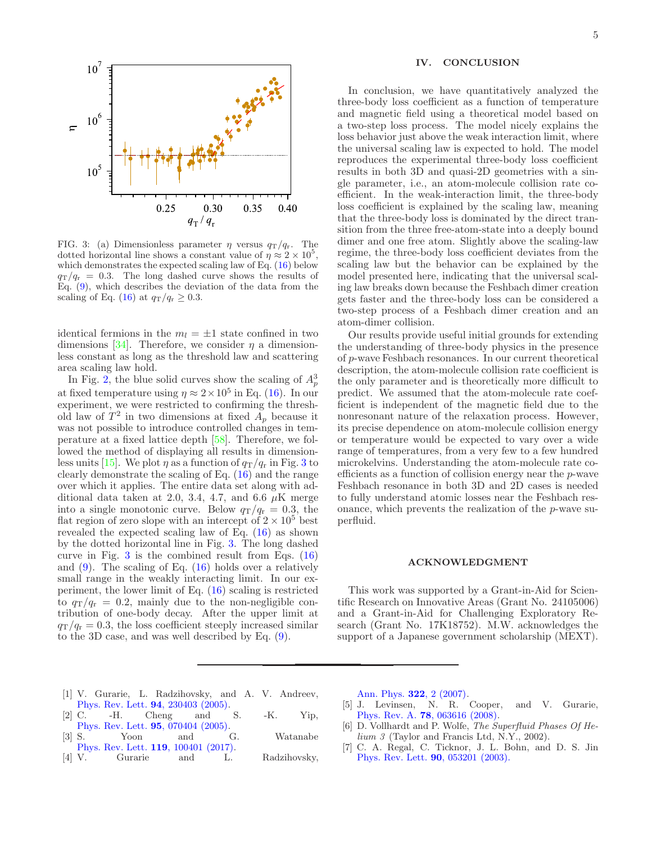

<span id="page-4-6"></span>FIG. 3: (a) Dimensionless parameter  $\eta$  versus  $q_T/q_r$ . The dotted horizontal line shows a constant value of  $\eta \approx 2 \times 10^5$ , which demonstrates the expected scaling law of Eq.  $(16)$  below  $q_T/q_r = 0.3$ . The long dashed curve shows the results of Eq. [\(9\)](#page-1-4), which describes the deviation of the data from the scaling of Eq. [\(16\)](#page-3-1) at  $q_T/q_r \geq 0.3$ .

identical fermions in the  $m_l = \pm 1$  state confined in two dimensions [\[34\]](#page-5-10). Therefore, we consider  $\eta$  a dimensionless constant as long as the threshold law and scattering area scaling law hold.

In Fig. [2,](#page-3-0) the blue solid curves show the scaling of  $A_p^3$ at fixed temperature using  $\eta \approx 2 \times 10^5$  in Eq. [\(16\)](#page-3-1). In our experiment, we were restricted to confirming the threshold law of  $T^2$  in two dimensions at fixed  $A_p$  because it was not possible to introduce controlled changes in temperature at a fixed lattice depth [\[58](#page-5-36)]. Therefore, we followed the method of displaying all results in dimension-less units [\[15\]](#page-5-12). We plot  $\eta$  as a function of  $q_T/q_r$  in Fig. [3](#page-4-6) to clearly demonstrate the scaling of Eq. [\(16\)](#page-3-1) and the range over which it applies. The entire data set along with additional data taken at 2.0, 3.4, 4.7, and 6.6  $\mu$ K merge into a single monotonic curve. Below  $q_T/q_r = 0.3$ , the flat region of zero slope with an intercept of  $2 \times 10^5$  best revealed the expected scaling law of Eq. [\(16\)](#page-3-1) as shown by the dotted horizontal line in Fig. [3.](#page-4-6) The long dashed curve in Fig.  $3$  is the combined result from Eqs.  $(16)$ and  $(9)$ . The scaling of Eq.  $(16)$  holds over a relatively small range in the weakly interacting limit. In our experiment, the lower limit of Eq. [\(16\)](#page-3-1) scaling is restricted to  $q_T/q_r = 0.2$ , mainly due to the non-negligible contribution of one-body decay. After the upper limit at  $q_T/q_r = 0.3$ , the loss coefficient steeply increased similar to the 3D case, and was well described by Eq. [\(9\)](#page-1-4).

## IV. CONCLUSION

In conclusion, we have quantitatively analyzed the three-body loss coefficient as a function of temperature and magnetic field using a theoretical model based on a two-step loss process. The model nicely explains the loss behavior just above the weak interaction limit, where the universal scaling law is expected to hold. The model reproduces the experimental three-body loss coefficient results in both 3D and quasi-2D geometries with a single parameter, i.e., an atom-molecule collision rate coefficient. In the weak-interaction limit, the three-body loss coefficient is explained by the scaling law, meaning that the three-body loss is dominated by the direct transition from the three free-atom-state into a deeply bound dimer and one free atom. Slightly above the scaling-law regime, the three-body loss coefficient deviates from the scaling law but the behavior can be explained by the model presented here, indicating that the universal scaling law breaks down because the Feshbach dimer creation gets faster and the three-body loss can be considered a two-step process of a Feshbach dimer creation and an atom-dimer collision.

Our results provide useful initial grounds for extending the understanding of three-body physics in the presence of p-wave Feshbach resonances. In our current theoretical description, the atom-molecule collision rate coefficient is the only parameter and is theoretically more difficult to predict. We assumed that the atom-molecule rate coefficient is independent of the magnetic field due to the nonresonant nature of the relaxation process. However, its precise dependence on atom-molecule collision energy or temperature would be expected to vary over a wide range of temperatures, from a very few to a few hundred microkelvins. Understanding the atom-molecule rate coefficients as a function of collision energy near the p-wave Feshbach resonance in both 3D and 2D cases is needed to fully understand atomic losses near the Feshbach resonance, which prevents the realization of the p-wave superfluid.

### ACKNOWLEDGMENT

This work was supported by a Grant-in-Aid for Scientific Research on Innovative Areas (Grant No. 24105006) and a Grant-in-Aid for Challenging Exploratory Research (Grant No. 17K18752). M.W. acknowledges the support of a Japanese government scholarship (MEXT).

- <span id="page-4-0"></span>[1] V. Gurarie, L. Radzihovsky, and A. V. Andreev, [Phys. Rev. Lett.](https://journals.aps.org/prl/abstract/10.1103/PhysRevLett.94.230403) 94, 230403 (2005).
- <span id="page-4-2"></span>[2] C. -H. Cheng and S. -K. Yip, [Phys. Rev. Lett.](https://journals.aps.org/prl/abstract/10.1103/PhysRevLett.95.070404) **95**, 070404 (2005).<br>[3] S. Yoon and
- G. Watanabe [Phys. Rev. Lett.](https://journals.aps.org/prl/abstract/10.1103/PhysRevLett.119.100401) 119, 100401 (2017).
- <span id="page-4-3"></span>[4] V. Gurarie and L. Radzihovsky,

[Ann. Phys.](https://www.sciencedirect.com/science/article/pii/S0003491606002399) 322, 2 (2007).

- <span id="page-4-1"></span>[5] J. Levinsen, N. R. Cooper, and V. Gurarie, Phys. Rev. A. 78[, 063616 \(2008\).](https://journals.aps.org/pra/abstract/10.1103/PhysRevA.78.063616)
- <span id="page-4-4"></span>[6] D. Vollhardt and P. Wolfe, The Superfluid Phases Of Helium 3 (Taylor and Francis Ltd, N.Y., 2002).
- <span id="page-4-5"></span>[7] C. A. Regal, C. Ticknor, J. L. Bohn, and D. S. Jin [Phys. Rev. Lett.](https://journals.aps.org/prl/abstract/10.1103/PhysRevLett.90.053201) 90, 053201 (2003).